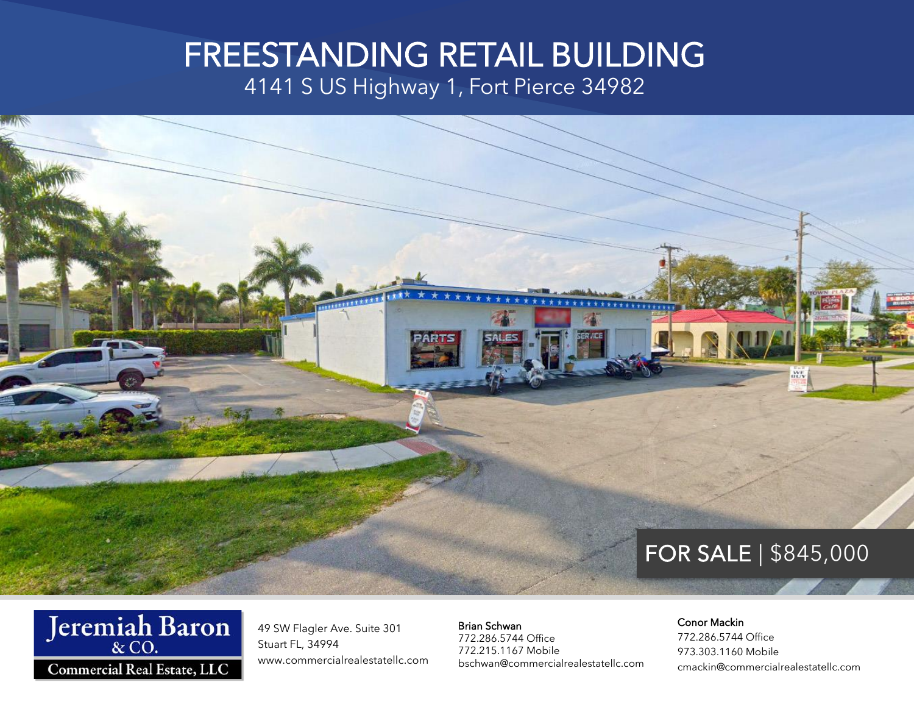## FREESTANDING RETAIL BUILDING

4141 S US Highway 1, Fort Pierce 34982





49 SW Flagler Ave. Suite 301 Stuart FL, 34994 www.commercialrealestatellc.com Brian Schwan 772.286.5744 Office 772.215.1167 Mobile bschwan@commercialrealestatellc.com

#### Conor Mackin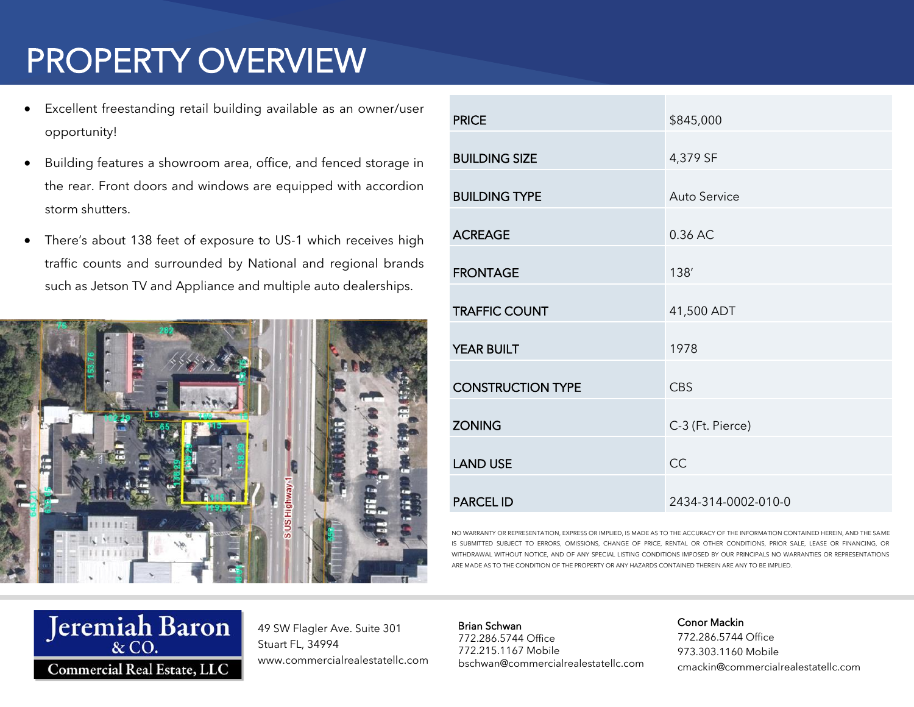# PROPERTY OVERVIEW

- Excellent freestanding retail building available as an owner/user opportunity!
- Building features a showroom area, office, and fenced storage in the rear. Front doors and windows are equipped with accordion storm shutters.
- There's about 138 feet of exposure to US-1 which receives high traffic counts and surrounded by National and regional brands such as Jetson TV and Appliance and multiple auto dealerships.



| <b>PRICE</b>             | \$845,000           |
|--------------------------|---------------------|
|                          |                     |
| <b>BUILDING SIZE</b>     | 4,379 SF            |
|                          |                     |
| <b>BUILDING TYPE</b>     | Auto Service        |
|                          |                     |
| <b>ACREAGE</b>           | 0.36 AC             |
|                          |                     |
| <b>FRONTAGE</b>          | 138'                |
|                          |                     |
| <b>TRAFFIC COUNT</b>     | 41,500 ADT          |
|                          |                     |
| <b>YEAR BUILT</b>        | 1978                |
|                          |                     |
| <b>CONSTRUCTION TYPE</b> | <b>CBS</b>          |
|                          |                     |
| <b>ZONING</b>            | C-3 (Ft. Pierce)    |
|                          |                     |
| <b>LAND USE</b>          | CC                  |
|                          |                     |
| <b>PARCEL ID</b>         | 2434-314-0002-010-0 |

NO WARRANTY OR REPRESENTATION, EXPRESS OR IMPLIED, IS MADE AS TO THE ACCURACY OF THE INFORMATION CONTAINED HEREIN, AND THE SAME IS SUBMITTED SUBJECT TO ERRORS, OMISSIONS, CHANGE OF PRICE, RENTAL OR OTHER CONDITIONS, PRIOR SALE, LEASE OR FINANCING, OR WITHDRAWAL WITHOUT NOTICE, AND OF ANY SPECIAL LISTING CONDITIONS IMPOSED BY OUR PRINCIPALS NO WARRANTIES OR REPRESENTATIONS ARE MADE AS TO THE CONDITION OF THE PROPERTY OR ANY HAZARDS CONTAINED THEREIN ARE ANY TO BE IMPLIED.

Jeremiah Baron Commercial Real Estate, LLC

49 SW Flagler Ave. Suite 301 Stuart FL, 34994 www.commercialrealestatellc.com Brian Schwan 772.286.5744 Office 772.215.1167 Mobile bschwan@commercialrealestatellc.com

#### Conor Mackin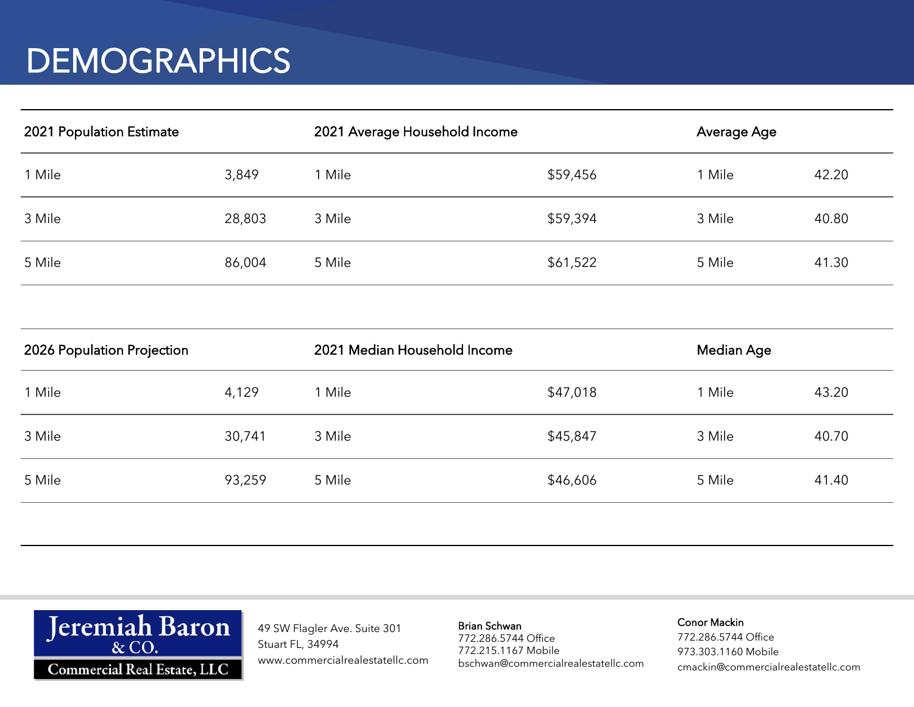## **DEMOGRAPHICS**

| 2021 Population Estimate |        | 2021 Average Household Income |          | Average Age |       |
|--------------------------|--------|-------------------------------|----------|-------------|-------|
| 1 Mile                   | 3,849  | 1 Mile                        | \$59,456 | l Mile      | 42.20 |
| 3 Mile                   | 28,803 | 3 Mile                        | \$59,394 | 3 Mile      | 40.80 |
| 5 Mile                   | 86,004 | 5 Mile                        | \$61,522 | 5 Mile      | 41.30 |

| 2026 Population Projection |        | 2021 Median Household Income |          | Median Age |       |
|----------------------------|--------|------------------------------|----------|------------|-------|
| 1 Mile                     | 4,129  | ' Mile                       | \$47,018 | 1 Mile     | 43.20 |
| 3 Mile                     | 30,741 | 3 Mile                       | \$45,847 | 3 Mile     | 40.70 |
| 5 Mile                     | 93,259 | 5 Mile                       | \$46,606 | 5 Mile     | 41.40 |
|                            |        |                              |          |            |       |



49 SW Flagler Ave. Suite 301 Stuart FL, 34994 www.commercialrealestatellc.com Brian Schwan

772.286.5744 Office 772.215.1167 Mobile bschwan@commercialrealestatellc.com

### Conor Mackin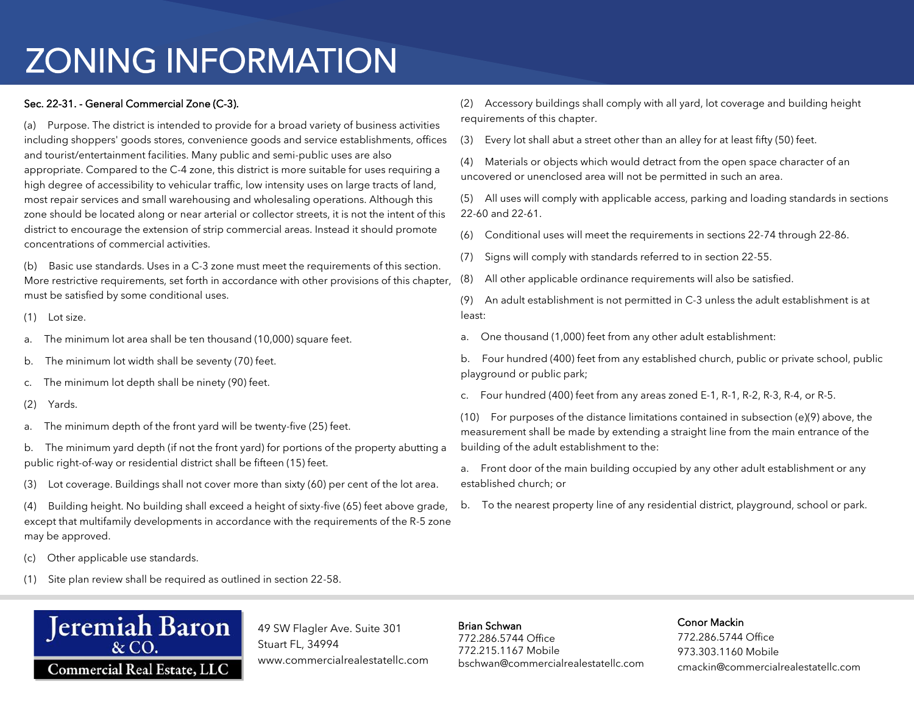# ZONING INFORMATION

### Sec. 22-31. - General Commercial Zone (C-3).

(a) Purpose. The district is intended to provide for a broad variety of business activities including shoppers' goods stores, convenience goods and service establishments, offices and tourist/entertainment facilities. Many public and semi-public uses are also appropriate. Compared to the C-4 zone, this district is more suitable for uses requiring a high degree of accessibility to vehicular traffic, low intensity uses on large tracts of land, most repair services and small warehousing and wholesaling operations. Although this zone should be located along or near arterial or collector streets, it is not the intent of this district to encourage the extension of strip commercial areas. Instead it should promote concentrations of commercial activities.

(b) Basic use standards. Uses in a C-3 zone must meet the requirements of this section. More restrictive requirements, set forth in accordance with other provisions of this chapter, must be satisfied by some conditional uses.

- (1) Lot size.
- a. The minimum lot area shall be ten thousand (10,000) square feet.
- b. The minimum lot width shall be seventy (70) feet.
- c. The minimum lot depth shall be ninety (90) feet.
- (2) Yards.
- a. The minimum depth of the front yard will be twenty-five (25) feet.
- b. The minimum yard depth (if not the front yard) for portions of the property abutting a public right-of-way or residential district shall be fifteen (15) feet.
- (3) Lot coverage. Buildings shall not cover more than sixty (60) per cent of the lot area.

(4) Building height. No building shall exceed a height of sixty-five (65) feet above grade, except that multifamily developments in accordance with the requirements of the R-5 zone may be approved.

- (c) Other applicable use standards.
- (1) Site plan review shall be required as outlined in section 22-58.



49 SW Flagler Ave. Suite 301 Stuart FL, 34994 www.commercialrealestatellc.com (2) Accessory buildings shall comply with all yard, lot coverage and building height requirements of this chapter.

(3) Every lot shall abut a street other than an alley for at least fifty (50) feet.

(4) Materials or objects which would detract from the open space character of an uncovered or unenclosed area will not be permitted in such an area.

(5) All uses will comply with applicable access, parking and loading standards in sections 22-60 and 22-61.

(6) Conditional uses will meet the requirements in sections 22-74 through 22-86.

- (7) Signs will comply with standards referred to in section 22-55.
- (8) All other applicable ordinance requirements will also be satisfied.

(9) An adult establishment is not permitted in C-3 unless the adult establishment is at least:

a. One thousand (1,000) feet from any other adult establishment:

b. Four hundred (400) feet from any established church, public or private school, public playground or public park;

c. Four hundred (400) feet from any areas zoned E-1, R-1, R-2, R-3, R-4, or R-5.

(10) For purposes of the distance limitations contained in subsection (e)(9) above, the measurement shall be made by extending a straight line from the main entrance of the building of the adult establishment to the:

- a. Front door of the main building occupied by any other adult establishment or any established church; or
- b. To the nearest property line of any residential district, playground, school or park.

Brian Schwan 772.286.5744 Office 772.215.1167 Mobile bschwan@commercialrealestatellc.com

#### Conor Mackin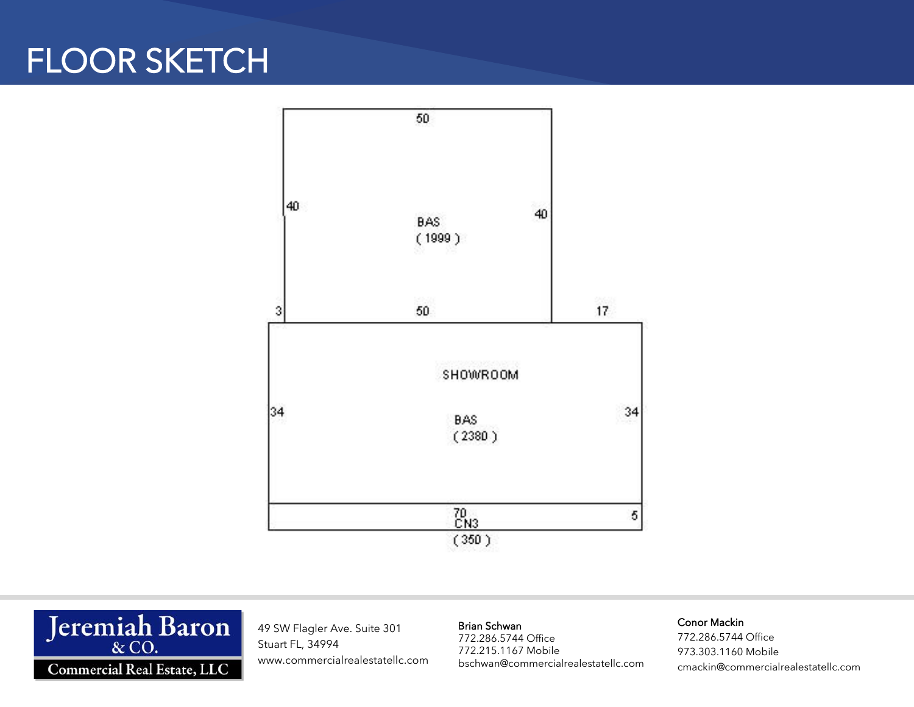## FLOOR SKETCH





49 SW Flagler Ave. Suite 301 Stuart FL, 34994 www.commercialrealestatellc.com Brian Schwan

772.286.5744 Office 772.215.1167 Mobile bschwan@commercialrealestatellc.com

#### Conor Mackin